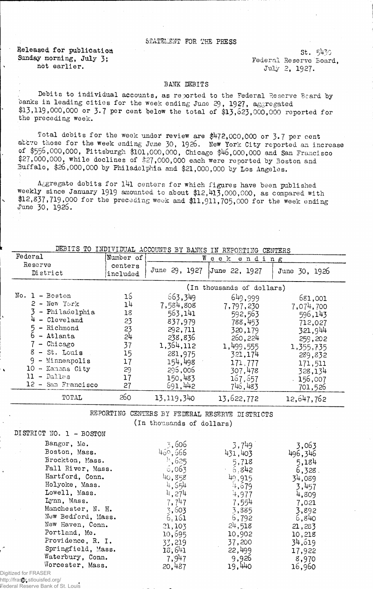## siatelsnt fop. the press

Released for publication St. 5430 Sunday morning, July 3; Federal Reserve Board, not earlier.<br> $Jully 2, 1927.$ 

## BANK DEBITS

Debits to individual accounts, as reported to the Federal Reserve Beard by banks in leading cities for the week ending June 29, 1927, aggregated \$13,119,000,000 or 3.7 per cent below the total of \$13,623,000,000 reported for the preceding week.

Total debits for the week under review are  $$472,000,000$  or 3.7 per cent atcve those for the week ending June 30, 1926. New York City reported an increase of \$556,000,000, Pittsburgh \$101,000,000, Chicago \$46,000,000 and San Francisco \$27,000,000, while declines of \$27,000,000 each were reported by Boston and Buffalo, \$26,000,000 by Philadelphia and \$21,000,000 by Los Angeles.

Aggregate debits for l4l centers for which figures have been published Weekly since January 1919 amounted to about \$12,413,000,000, as compared with \$12,837,719,000 for the preceding week and \$11,911,705,000 for the week ending June 30, 1926.

| DEBITS TO INDIVIDUAL ACCOUNTS BY BANKS IN REPORTING CENTERS |
|-------------------------------------------------------------|
|-------------------------------------------------------------|

| Federal                                                                                                                                                                                          | Number of                                                                  | W                                                                                                                         | e e k<br>ending                                                                                                            |                                                                                                                           |
|--------------------------------------------------------------------------------------------------------------------------------------------------------------------------------------------------|----------------------------------------------------------------------------|---------------------------------------------------------------------------------------------------------------------------|----------------------------------------------------------------------------------------------------------------------------|---------------------------------------------------------------------------------------------------------------------------|
| Reserve<br>District                                                                                                                                                                              | centers<br>included                                                        | June 29, 1927                                                                                                             | June 22, 1927                                                                                                              | June 30, 1926                                                                                                             |
|                                                                                                                                                                                                  |                                                                            |                                                                                                                           | (In thousands of dollars)                                                                                                  |                                                                                                                           |
| No. 1 - Boston<br>$2$ - New York<br>- Philadelphia<br>- Cleveland<br>5 - Richmond<br>6.<br>- Atlanta<br>7 - Chicago<br>$8 - St.$ Louis<br>$9$ - Minneapolis<br>10 - Kansas City<br>$11 -$ Dallas | 16<br>1 <sup>1</sup><br>18<br>23<br>23<br>24<br>37<br>15<br>17<br>29<br>17 | 663,349<br>7,584,808<br>563,141<br>837,979<br>292,711<br>238,836<br>1,364,112<br>281,975<br>154,498<br>296,006<br>150,483 | 649,999<br>7,797,230<br>592,563<br>788,453<br>320,179<br>260, 224<br>1,499,555<br>321,174<br>171,777<br>307,478<br>167,657 | 681,001<br>7,074,700<br>596,143<br>712,027<br>321,944<br>259,202<br>1,355,735<br>289,832<br>171,511<br>328,134<br>156,007 |
| 12 - San Francisco                                                                                                                                                                               | 27                                                                         | 691,442                                                                                                                   | 746,483                                                                                                                    | 701,526                                                                                                                   |
| TOTAL                                                                                                                                                                                            | 260                                                                        | 13,119,340                                                                                                                | 13,622,772                                                                                                                 | 12,647,762                                                                                                                |

REPORTING CENTERS BY FEDERAL RESSRVE DISTRICTS (in thousands of dollars)

| DISTRICT NO. 1 - BOSTON |                      |         |         |
|-------------------------|----------------------|---------|---------|
| Bangor, Me.             | 3,606                | 3,749   | 3,063   |
| Boston, Mass.           | 450,566              | 431,403 | 496,346 |
| Brockton, Mass.         | $\frac{11}{2}$ , 625 | 5,718   | 5,184   |
| Fall River, Mass.       | 5,063                | 6,842   | 6,328   |
| Hartford, Conn.         | 40,358               | 49,915  | 34,089  |
| Holyoke, Mass.          | 4,654                | 4,679   | 3,457   |
| Lowell, Mass.           | 4,274                | 4,977   | 4,809   |
| Lynn, Mass.             | 7,747                | 7,554   | 7,021   |
| Manchester, N. H.       | 3,603                | 3,885   | 3,892   |
| New Bedford, Mass.      | 6,161                | 6,792   | 6,840   |
| New Haven, Conn.        | 21,103               | 24,518  | 21,283  |
| Portland, Me.           | 10,595               | 10,902  | 10,218  |
| Providence, R. I.       | 33,219               | 37,200  | 34,619  |
| Springfield, Mass.      | 18,641               | 22,499  | 17,922  |
| Waterbury, Conn.        | 7,947                | 9,926   | 8,970   |
| Worcester, Mass.        | 20,487               | 19,440  | 16,960  |
| Digitized for FRASER    |                      |         |         |

http://fraser.stlouisfed.org/ Federal Reserve Bank of St. Louis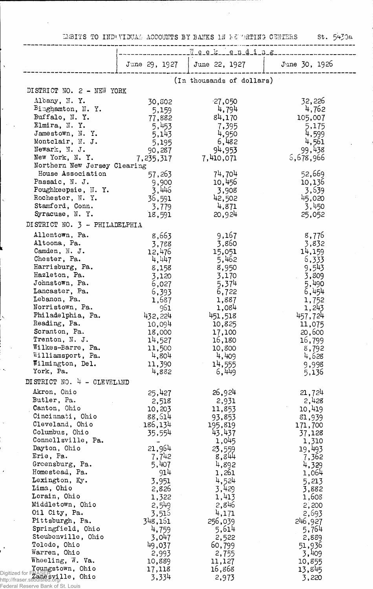IMBITS TO INDUVIDUAL ACCOUNTS BY BANKS IN FEUNATING CENTERS St.  $5430a$ 

 $\ddot{\phantom{a}}$ 

|                                                                                        |                  | Week ending               |                     |
|----------------------------------------------------------------------------------------|------------------|---------------------------|---------------------|
|                                                                                        | June 29, 1927    | June 22, 1927             | June 30, 1926       |
|                                                                                        |                  | (In thousands of dollars) |                     |
| DISTRICT NO. 2 - NEW YORK                                                              |                  |                           |                     |
| Albany, N.Y.                                                                           | 30,802           | $-27,050$                 | 32,226              |
| $B$ inghamton, N.Y.                                                                    | 5,159            | 4,794                     | 4,762               |
| Buffalo, N.Y.                                                                          | 77,882           | 84,170                    | 105,007             |
| Elmira, N.Y.                                                                           | 5,453            | 7,395                     | 5,175               |
| Jamestown, N.Y.                                                                        | 5,143            | 4,950                     | 4,599               |
| Montclair, N. J.                                                                       | 5,195            | 6,482                     | 4,561               |
| Newark, N. J.<br>New York, N.Y.                                                        | 90,287           | 94,953<br>7,410,071       | 99,438<br>5,678,966 |
| Northern New Jersey Clearing                                                           | 7,235,317        |                           |                     |
| House Association                                                                      | 57,263           | 74,704                    | 52,669              |
| Passaic, N. J.                                                                         | 9,900            | 10,456                    | 10,136              |
| Poughkeepsie, N.Y.                                                                     | 3,446            | 3,908                     | 3,639               |
| Rochester, N.Y.                                                                        | 36,591           | 42,502                    | 45,020              |
| Stamford, Conn.                                                                        | 3,779            | 4,871                     | 3,450               |
| Syracuse, N.Y.                                                                         | 18,591           | 20,924                    | 25,052              |
| DISTRICT NO. 3 - PHILADELPHIA                                                          |                  |                           |                     |
| Allentown, Pa.                                                                         | 8,663            | 9,167                     | 8,776               |
| Altoona, Pa.                                                                           | 3,788            | 3,860                     | 3,832               |
| Camden, N. J.                                                                          | 12,476           | 15,051                    | 14,159              |
| Chester, Pa.                                                                           | 4,447            | 5,462                     | 6,333               |
| Harrisburg, Pa.                                                                        | 8,158            | 8,950                     | 9,543               |
| Hazleton, Pa.                                                                          | 3,120            | 3,170                     | 3,809               |
| Johnstown, Pa.                                                                         | 6,027            | 5,374                     | 5,490               |
| Lancaster, Pa.<br>Lebanon, Pa.                                                         | 6,393            | 6,722                     | 6,454               |
| Norristown, Pa.                                                                        | 1,687<br>961     | 1,887<br>1,084            | 1,752<br>1,243      |
| Philadelphia, Pa.                                                                      | 432,224          | 451,518                   | 457,724             |
| Reading, Pa.                                                                           | 10,094           | 10,825                    | 11,075              |
| Scranton, Pa.                                                                          | 18,000           | 17,100                    | 20,600              |
| Trenton, N. J.                                                                         | 14,527           | 16,180                    | 16,799              |
| Wilkes-Barre, Pa.                                                                      | 11,500           | 10,800                    | 8,792               |
| Williamsport, Pa.                                                                      | 4,804            | 4,409                     | 4,628               |
| Wilmington, Del.                                                                       | 11,390           | 14,555                    | 9,998               |
| York, Pa.                                                                              | 4,882            | 6,449                     | 5,136               |
| DISTRICT NO. 4 - CLEVELAND                                                             |                  |                           |                     |
| Akron, Ohio                                                                            | 25,427           | 26,924                    | 21,724              |
| Butler, Pa.                                                                            | 2,518            | 2,931                     | 2,428               |
| Canton, Ohio<br>Cincinnati, Ohio                                                       | 10,203<br>88,514 | 11,853                    | 10,419              |
| Cleveland, Ohio                                                                        | 186,134          | 93,853<br>195,819         | 81,939<br>171,700   |
| Columbus, Ohio                                                                         | 35,554           | 43,437                    | 37,128              |
| Connellsville, Pa.                                                                     |                  | 1,045                     | 1,310               |
| Dayton, Ohio                                                                           | 21,964           | 23,559                    | 19,493              |
| Erie, Pa.                                                                              | 7,742            | 8,844                     | 7,362               |
| Greensburg, Pa.                                                                        | 5,407            | 4,892                     | 4,329               |
| Homestead, Pa.                                                                         | 914              | 1,261                     | 1,064               |
| Lexington, Ky.                                                                         | 3,951            | 4,524                     | 5,213               |
| Lima, Ohio                                                                             | 2,826            | 3,429                     | 3,882               |
| Lorain, Ohio                                                                           | 1,322            | 1,413                     | 1,608               |
| Middletown, Ohio                                                                       | 2,549            | 2,846                     | 2,200               |
| Oil City, Pa.                                                                          | 3,516            | 4,171                     | 2,693               |
| Pittsburgh, Pa.                                                                        | 348,161          | 256,039                   | 246,927             |
| Springfield, Ohio                                                                      | 4,759            | 5,614                     | 5,764               |
| Steubenville, Ohio                                                                     | 3,047            | 2,522                     | 2,889               |
| Toledo, Ohio<br>Warren, Ohio                                                           | 49,037           | 60,799                    | 51,936              |
| Wheeling, W. Va.                                                                       | 2,993<br>10,889  | 2,755<br>11,127           | 3,409<br>10,855     |
| Youngstown, Ohio                                                                       | 17,118           | 16,868                    | 13,845              |
| Digitized for FRASER<br>http://fraser.stiouisfed.org/<br>http://fraser.stiouisfed.org/ | 3,334            | 2,973                     | 3,220               |

Federal Reserve Bank of St. Louis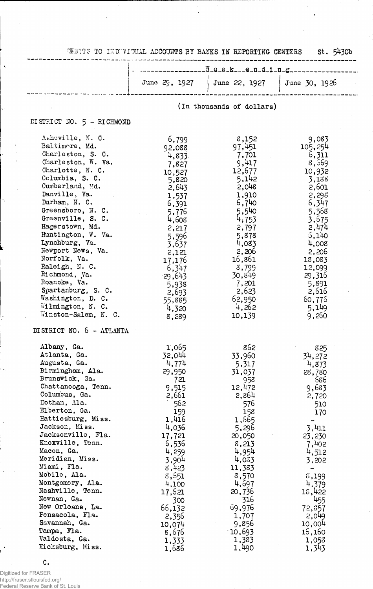|                                                                                                                                                                                                                                                                                                                                                                                                                                                                                        | DEBITS TO INDIVIDUAL ACCOUNTS BY BANKS IN REPORTING CENTERS                                                                                                                                                                 |                                                                                                                                                                                                                             | St. 5430b                                                                                                                                                                                                          |
|----------------------------------------------------------------------------------------------------------------------------------------------------------------------------------------------------------------------------------------------------------------------------------------------------------------------------------------------------------------------------------------------------------------------------------------------------------------------------------------|-----------------------------------------------------------------------------------------------------------------------------------------------------------------------------------------------------------------------------|-----------------------------------------------------------------------------------------------------------------------------------------------------------------------------------------------------------------------------|--------------------------------------------------------------------------------------------------------------------------------------------------------------------------------------------------------------------|
|                                                                                                                                                                                                                                                                                                                                                                                                                                                                                        |                                                                                                                                                                                                                             | ------1.0.e.ke.n.d.i.n.g                                                                                                                                                                                                    |                                                                                                                                                                                                                    |
|                                                                                                                                                                                                                                                                                                                                                                                                                                                                                        | June 29, 1927                                                                                                                                                                                                               | June 22, 1927                                                                                                                                                                                                               | June 30, 1926                                                                                                                                                                                                      |
|                                                                                                                                                                                                                                                                                                                                                                                                                                                                                        |                                                                                                                                                                                                                             | (In thousands of dollars)                                                                                                                                                                                                   |                                                                                                                                                                                                                    |
| DISTRICT NO. 5 - RICHMOND                                                                                                                                                                                                                                                                                                                                                                                                                                                              |                                                                                                                                                                                                                             |                                                                                                                                                                                                                             |                                                                                                                                                                                                                    |
| Ashoville, N. C.<br>Baltimore, Md.<br>Charleston, S. C.<br>Charleston, W. Va.<br>Charlotte, N. C.<br>Columbia, S. C.<br>Cumberland, Md.<br>Danville, Va.<br>Durham, N. C.<br>Greensboro, N.C.<br>Greenville, S. C.<br>Hagerstown, Md.<br>Huntington, W. Va.<br>Lynchburg, Va.<br>Newport News, Va.<br>Norfolk, Va.<br>Raleigh, N. C.<br>Richmond, Va.<br>Roanoke, Va.<br>Spartanburg, S. C.<br>Washington, D. C.<br>Wilmington, N. C.<br>Winston-Salem, N. C.                          | 6,799<br>92,088<br>4,833<br>7,827<br>10,527<br>5,820<br>2,643<br>1,537<br>6,391<br>5,776<br>4,608<br>2,217<br>5,596<br>3,637<br>2,121<br>17,176<br>6,347<br>$-29,643$<br>5,938<br>2,693<br>55,885<br>4,320<br>8,289         | 8,152<br>97,451<br>7,701<br>9,417<br>12,677<br>5,142<br>2,048<br>1,910<br>6,740<br>5,540<br>4,753<br>2,797<br>5,878<br>4,083<br>2,206<br>16,861<br>8,799<br>30,849<br>7,201<br>2,623<br>62,950<br>4,262<br>10,139           | 9,083<br>105,254<br>6,311<br>8,569<br>10,932<br>3,188<br>2,601<br>2,295<br>6,347<br>5.568<br>3,675<br>2,474<br>6,140<br>4,008<br>2,206<br>13,083<br>12,099<br>29,316<br>5,891<br>2,616<br>60,776<br>5,149<br>9,260 |
| DISTRICT NO. 6 - ATLANTA<br>Albany, Ga.<br>Atlanta, Ga.<br>Augusta, Ga.<br>Birmingham, Ala.<br>Brunswick, Ga.<br>Chattanooga, Tenn.<br>Columbus, Ga.<br>Dothan, Ala.<br>Elberton, Ga.<br>Hattiesburg, Miss.<br>Jackson, Miss.<br>Jacksonville, Fla.<br>Knoxville, Tenn.<br>Macon, Ga.<br>Meridian, Miss.<br>Miami, Fla.<br>Mobile, Ala.<br>Montgomery, Ala.<br>Nashville, Tenn.<br>Newnan, Ga.<br>New Orleans, La.<br>Pensacola, Fla.<br>Savannah, Ga.<br>Tampa, Fla.<br>Valdosta, Ga. | 1,065<br>32,044<br>4,774<br>29,950<br>721<br>9,515<br>2,661<br>562<br>159<br>1,416<br>4,036<br>17,721<br>6,536<br>4,259<br>3,904<br>8,423<br>8,551<br>4,100<br>17,621<br>300<br>66,132<br>2,356<br>10,074<br>8,676<br>1,333 | 862<br>33,960<br>5,317<br>31,037<br>958<br>12,472<br>2,864<br>576<br>158<br>1,665<br>5,296<br>20,050<br>8,213<br>4,954<br>4,033<br>11,383<br>8,570<br>4,697<br>20,736<br>316<br>69,976<br>1,707<br>9,856<br>10,693<br>1,383 | 825<br>34,272<br>4,873<br>28,780<br>686<br>9,683<br>2,720<br>510<br>170<br>3,411<br>23,230<br>7,402<br>4,512<br>3,202<br>3,199<br>4,379<br>15,422<br>455<br>72,357<br>2,049<br>10,004<br>16,160<br>1,058           |

.<br>Digitized for FRASER<br>Federal Reserve Bank of St. Louis

 $\mathtt{C}$  .

ł,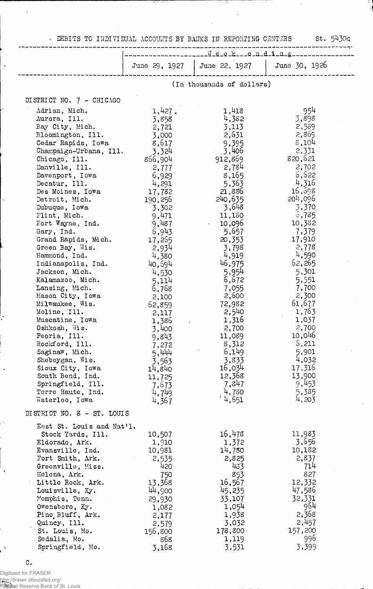• DEBITS TO 11IDIVIDUAL ACCOUNTS BY BANKS IN REPORTING- CENTERS St. 5430c

Ŧ.

खर

|                                    | ----------Week--0uding-   |                 |                 |  |  |  |
|------------------------------------|---------------------------|-----------------|-----------------|--|--|--|
|                                    |                           |                 |                 |  |  |  |
|                                    | June 29, 1927             | June 22, $1927$ | June 30, 1926   |  |  |  |
|                                    | (In thousands of dollars) |                 |                 |  |  |  |
| DISTRICT NO. 7 - CHICAGO           |                           |                 |                 |  |  |  |
| Adrian, Mich.                      | 1,427.                    | 1,418           | 954             |  |  |  |
| Aurora, Ill.                       | 3,858                     | 4,382           | 3,898           |  |  |  |
| Bay City, Mich.                    | 2,721                     | 3,113           | 2,539           |  |  |  |
| Bloomington, Ill.                  | 3,000                     | 2,631           | 2,869           |  |  |  |
| Cedar Rapids, Iowa                 | 8,617                     | 9,395           | 8,104           |  |  |  |
| Champaign-Urbana, Ill.             | 3,324                     | 3,406           | 2,331           |  |  |  |
| Chicago, Ill.                      | 866,904                   | 912,869         | 820,621         |  |  |  |
| Danville, Ill.                     | 2,777                     | 2,784           | 2,702           |  |  |  |
| Davenport, Iowa                    | 6,929                     | 8,165           | 6,622           |  |  |  |
| Decatur, Ill.                      | 4,291                     | 5,363           | 4,316           |  |  |  |
| Des Moines, Iowa                   | 17,782                    | 21,886          | 16,598          |  |  |  |
| Detroit, Mich.                     | 190,256                   | 240,635         | $201$ ,096      |  |  |  |
| Dubuque, Iowa                      | 3,302                     | 3,648           | 3,370           |  |  |  |
| Flint, Mich.                       | 9,471                     | 11,180          | 5,735           |  |  |  |
| Fort Wayne, Ind.                   | 9,487                     | $-10,096$       | 10,382          |  |  |  |
| Gary, Ind.                         | 6,943                     | 5,657           | 7,379           |  |  |  |
| Grand Rapids, Mich.                | 17,265                    | 20,353          | 17,910          |  |  |  |
| Green Bay, Wis.                    | 2,934                     | 3,798           | 2,778           |  |  |  |
| Hammond, Ind.                      | 4,380                     | 4,919           | 4,590           |  |  |  |
| Indianapolis, Ind.                 | 40,694                    | 46,975          | 62,265          |  |  |  |
| Jackson, Mich.                     | 4,530                     | 5,954           | 5,301           |  |  |  |
| Kalamazoo, Mich.                   | 5,114                     | 6,672           | 5,551           |  |  |  |
| Lansing, Mich.                     | 6,768                     | 7,055           | 7,700           |  |  |  |
| Mason City, Iowa                   | 2,100                     | 2,600           | 2,300           |  |  |  |
| Milwaukee, Wis.                    | 62,859                    | 72,982          | 61,677          |  |  |  |
| Moline, Ill.                       | 2,117                     | 2,540           | 1,763           |  |  |  |
| Muscatine, Iowa                    | 1,386                     | 1,316           | 1,037           |  |  |  |
| Oshkosh, Wis.<br>Peoria, Ill.      | 3,400                     | 2,700           | 2,700<br>10,046 |  |  |  |
| Rockford, Ill.                     | 9,843                     | 11,089<br>8,312 | 6,211           |  |  |  |
| Saginaw, Mich.                     | 7,272                     | 6,149           | 5,901           |  |  |  |
| Sheboygan, Wis.                    | 5,444<br>3,563            | 3,833           | 4,032           |  |  |  |
| Sioux City, Iowa                   | 14,840                    | 16,034          | 17,316          |  |  |  |
| South Bend, Ind.                   | 11,725                    | 12,368          | 13,900          |  |  |  |
| Springfield, Ill.                  | 7,673                     | 7,847           | 9,453           |  |  |  |
| Terre Haute, Ind.                  | 4,749                     | 4,780           | 5,385           |  |  |  |
| Waterloo, Iowa                     | 4,367                     | $'$ 4,651       | 4,203           |  |  |  |
| DISTRICT NO. 8 - ST. LOUIS         |                           |                 |                 |  |  |  |
| East St. Louis and Nat'l.          |                           |                 |                 |  |  |  |
| Stock Yards, Ill.                  | 10,507                    | 16,478          | 11,983          |  |  |  |
| Eldorado, Ark.                     | 1,910                     | 1,372           | 3,656           |  |  |  |
| Evansville, Ind.                   | 10,981                    | 14,780          | 10,182          |  |  |  |
| Fort Smith, Ark.                   | 2,535                     | 2,825           | 2,837           |  |  |  |
| Greenville, Miss.                  | 420                       | 433             | 714             |  |  |  |
| Helena, Ark.                       | 750                       | 853             | 827             |  |  |  |
| Little Rock, Ark.                  | 13,368                    | 16,567          | 12,332          |  |  |  |
| Louisville, Ky.                    | 44,900                    | 45,235          | 47,586          |  |  |  |
| Memphis, Tenn.                     | 29,930                    | 33,107          | 32,331<br>964   |  |  |  |
| Owensboro, Ky.<br>Pine Bluff, Ark. | 1,082                     | 1,054<br>1,938  | 2,368           |  |  |  |
| Quincy, Ill.                       | 2,177                     | 3,032           | 2,457           |  |  |  |
| St. Louis, Mo.                     | 2,579<br>156,800          | 178,800         | 157,200         |  |  |  |
| Sedalia, Mo.                       | 868                       | 1,119           | 996             |  |  |  |
| Springfield, Mo.                   | 3,168                     | 3,531           | 3,399           |  |  |  |
|                                    |                           |                 |                 |  |  |  |

 $\mathtt{C}$  .

 $\ddot{\phantom{1}}$ 

 $\ddot{\phantom{a}}$ 

 $\ddot{\phantom{1}}$ 

 $\tilde{\zeta}$ 

Digitized for FRASER http://fraser.stlouisfed.org/ Federal Reserve Bank of St. Louis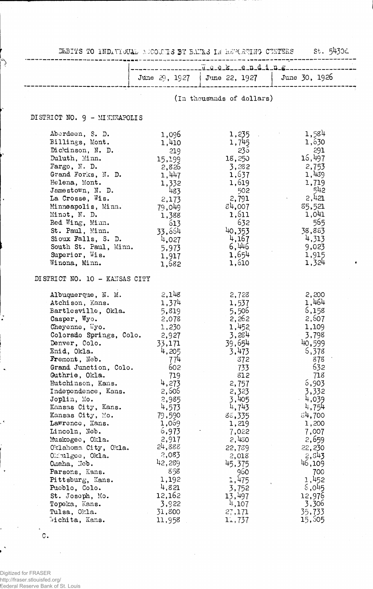|                                                                                                                                                                                                                                                                                                                                                                                                                                                                                                                                                                                              |                                                                                                                                                                                                                                                                  | DERITS TO INDIVIDUAL ACCOUNTS BY BANKS IN REPORTING CENTERS                                                                                                                                                                                                      | St.<br>⊃9450                                                                                                                                                                                                                                                     |
|----------------------------------------------------------------------------------------------------------------------------------------------------------------------------------------------------------------------------------------------------------------------------------------------------------------------------------------------------------------------------------------------------------------------------------------------------------------------------------------------------------------------------------------------------------------------------------------------|------------------------------------------------------------------------------------------------------------------------------------------------------------------------------------------------------------------------------------------------------------------|------------------------------------------------------------------------------------------------------------------------------------------------------------------------------------------------------------------------------------------------------------------|------------------------------------------------------------------------------------------------------------------------------------------------------------------------------------------------------------------------------------------------------------------|
|                                                                                                                                                                                                                                                                                                                                                                                                                                                                                                                                                                                              |                                                                                                                                                                                                                                                                  | .w.e.e.ke.n.d.i.n.g                                                                                                                                                                                                                                              |                                                                                                                                                                                                                                                                  |
|                                                                                                                                                                                                                                                                                                                                                                                                                                                                                                                                                                                              |                                                                                                                                                                                                                                                                  | June 29, 1927   June 22, 1927   June 30, 1926                                                                                                                                                                                                                    |                                                                                                                                                                                                                                                                  |
|                                                                                                                                                                                                                                                                                                                                                                                                                                                                                                                                                                                              |                                                                                                                                                                                                                                                                  | (In thousands of dollars)                                                                                                                                                                                                                                        |                                                                                                                                                                                                                                                                  |
| DISTRICT NO. 9 - MINNEAPOLIS                                                                                                                                                                                                                                                                                                                                                                                                                                                                                                                                                                 |                                                                                                                                                                                                                                                                  |                                                                                                                                                                                                                                                                  |                                                                                                                                                                                                                                                                  |
| Aberdeen, S. D.<br>Billings, Mont.<br>Dickinson, N. D.<br>Duluth, Minn.<br>$\text{Fargo}, \text{ N. D.}$<br>Grand Forks, N. D.<br>Helena, Mont.<br>Jamestown, N. D.<br>La Crosse, Wis.<br>Minneapolis, Minn.<br>Minot, N. D.<br>Red Wing, Minn.<br>St. Paul, Minn.<br>Sioux Falls, S. D.<br>South St. Paul, Minn.<br>Superior, Wis.<br>Winona, Minn.                                                                                                                                                                                                                                         | 1,096<br>1,410<br>219<br>15,199<br>2,826<br>1,447<br>1,332<br>483<br>2,173<br>79,049<br>1,388<br>613<br>33,664<br>4,027<br>5,973<br>1,917<br>1,682                                                                                                               | 1,235<br>1,745<br>235<br>18,250<br>3,282<br>1,637<br>1,619<br>502<br>2,791<br>84,007<br>1,611<br>632<br>40,353<br>4,167<br>6,446<br>1,654<br>1,610                                                                                                               | 1,584<br>1,630<br>291<br>15,497<br>2,753<br>1,439<br>1,719<br>542<br>2,421<br>85,521<br>1,041<br>565<br>38,883<br>4,313<br>9,023<br>1,915<br>1,324                                                                                                               |
| DISTRICT NO. 10 - KANSAS CITY                                                                                                                                                                                                                                                                                                                                                                                                                                                                                                                                                                |                                                                                                                                                                                                                                                                  |                                                                                                                                                                                                                                                                  |                                                                                                                                                                                                                                                                  |
| Albuquerque, N. M.<br>Atchison, Kans.<br>Bartlesville, Okla.<br>Casper, Wyo.<br>Cheyenne, Wyo.<br>Colorado Springs, Colo.<br>Denver, Colo.<br>Enid, Okla.<br>Fremont, Neb.<br>Grand Junction, Colo.<br>Guthrie, Okla.<br>Hutchinson, Kans.<br>Independence, Kans.<br>Joplin, Mo.<br>Kansas City, Kans.<br>Kansas City, Mo.<br>Lawrence, Kans.<br>Lincoln, Neb.<br>Muskogec, Okla.<br>Oklahoma City, Okla.<br>$0$ $m1$ $geq$ $o$ , $0$ $k1$ $a$ .<br>Omaha, Jeb.<br>Parsons, Kans.<br>Pittsburg, Kans.<br>Pueblo, Colo.<br>St. Joseph, Mo.<br>Topeka, Kans.<br>Tulsa, Okla.<br>Wichita, Kans. | 2,148<br>1,374<br>5,819<br>2,078<br>1,230<br>2,927<br>33,171<br>4,205<br>774<br>602<br>719<br>4,273<br>2,506<br>2,985<br>4,573<br>79,590<br>1,069<br>6,973<br>2,917<br>24,888<br>2,083<br>42,289<br>858<br>1,192<br>4,821<br>12,162<br>3,922<br>31,800<br>11,958 | 2,728<br>1,537<br>5,506<br>2,262<br>1,452<br>3,284<br>39,654<br>3,473<br>372<br>733<br>812<br>2,757<br>2,323<br>3,405<br>4,743<br>88,335<br>1,219<br>7,022<br>2,430<br>22,789<br>2,018<br>45,375<br>960<br>1,475<br>3,752<br>13,497<br>4,107<br>27,171<br>11,737 | 2,200<br>1,464<br>6,158<br>2,507<br>1,109<br>3,798<br>40,599<br>5,378<br>878<br>632<br>718<br>6,903<br>3,332<br>4,039<br>4,754<br>34,700<br>1,200<br>7,007<br>2,659<br>22,230<br>2,543<br>46,109<br>700<br>1,452<br>6,045<br>12,976<br>3,306<br>35,733<br>15,505 |

 $\cdot$ 

 $\circ$ .

V

 $\ddot{\phantom{0}}$ 

 $\ddot{\phantom{1}}$ 

Digitized for FRASER http://fraser.stlouisfed.org/ Federal Reserve Bank of St. Louis